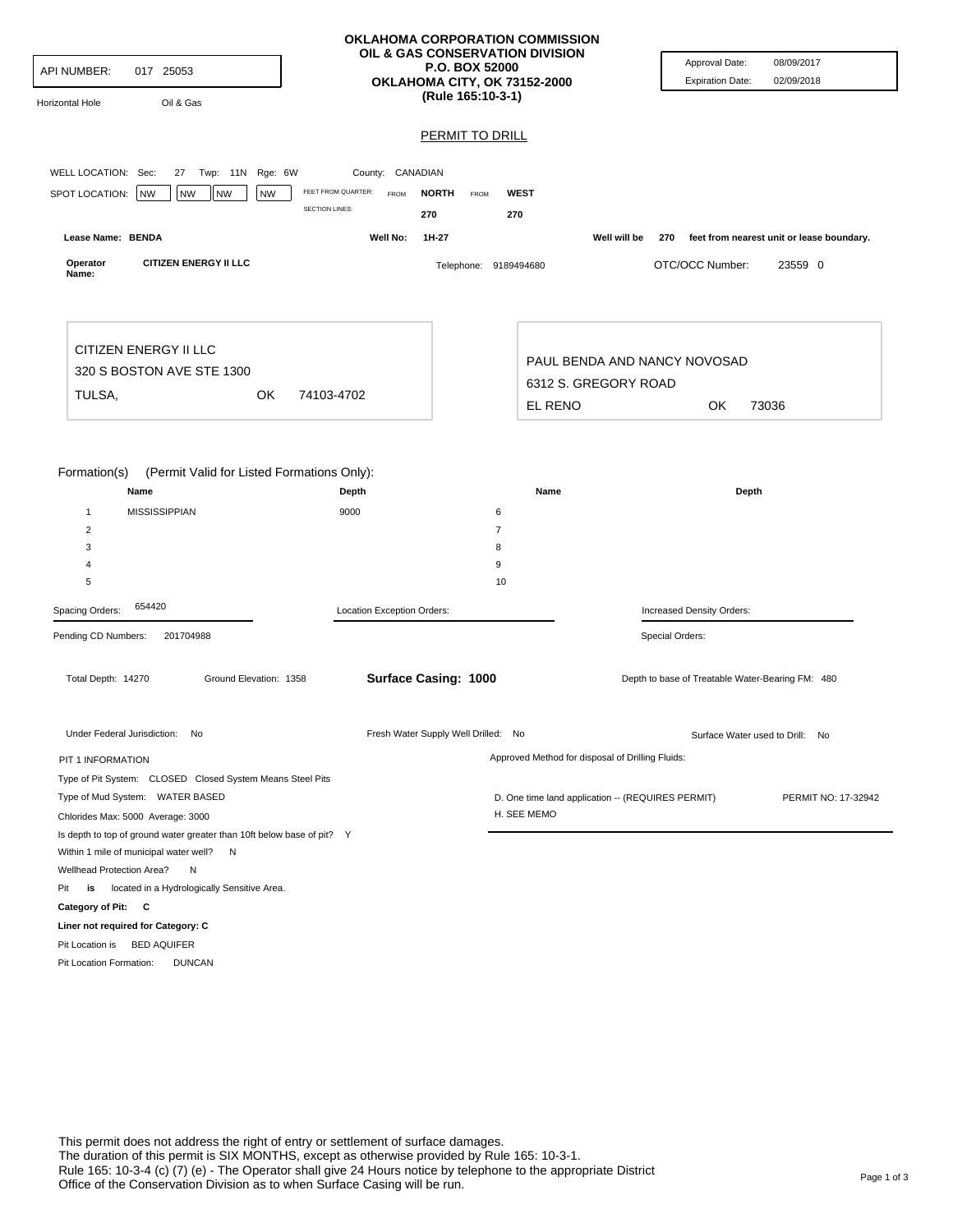| <b>API NUMBER:</b><br>017 25053<br>Oil & Gas<br>Horizontal Hole                                                                   |                                                                  | OKLAHOMA CORPORATION COMMISSION<br>OIL & GAS CONSERVATION DIVISION<br><b>P.O. BOX 52000</b><br>OKLAHOMA CITY, OK 73152-2000<br>(Rule 165:10-3-1) | Approval Date:<br><b>Expiration Date:</b>                           | 08/09/2017<br>02/09/2018                  |  |
|-----------------------------------------------------------------------------------------------------------------------------------|------------------------------------------------------------------|--------------------------------------------------------------------------------------------------------------------------------------------------|---------------------------------------------------------------------|-------------------------------------------|--|
|                                                                                                                                   |                                                                  | <b>PERMIT TO DRILL</b>                                                                                                                           |                                                                     |                                           |  |
|                                                                                                                                   |                                                                  |                                                                                                                                                  |                                                                     |                                           |  |
| WELL LOCATION: Sec:<br>27 Twp: 11N Rge: 6W<br><b>NW</b><br><b>NW</b><br><b>NW</b><br><b>NW</b>                                    | County: CANADIAN<br>FEET FROM QUARTER:<br><b>FROM</b>            | <b>NORTH</b><br><b>WEST</b><br>FROM                                                                                                              |                                                                     |                                           |  |
| SPOT LOCATION:                                                                                                                    | <b>SECTION LINES:</b><br>270                                     | 270                                                                                                                                              |                                                                     |                                           |  |
| Lease Name: BENDA                                                                                                                 | Well No:                                                         | 1H-27                                                                                                                                            | Well will be<br>270                                                 | feet from nearest unit or lease boundary. |  |
| <b>CITIZEN ENERGY II LLC</b><br>Operator<br>Name:                                                                                 |                                                                  | Telephone: 9189494680                                                                                                                            | OTC/OCC Number:                                                     | 23559 0                                   |  |
| CITIZEN ENERGY II LLC<br>320 S BOSTON AVE STE 1300                                                                                |                                                                  |                                                                                                                                                  | PAUL BENDA AND NANCY NOVOSAD                                        |                                           |  |
| TULSA,<br><b>OK</b>                                                                                                               | 74103-4702                                                       |                                                                                                                                                  | 6312 S. GREGORY ROAD                                                |                                           |  |
|                                                                                                                                   |                                                                  | EL RENO                                                                                                                                          | OK<br>73036                                                         |                                           |  |
| Name<br><b>MISSISSIPPIAN</b><br>1<br>$\overline{2}$<br>3<br>4<br>5                                                                | Depth<br>9000                                                    | Name<br>6<br>$\overline{7}$<br>8<br>9<br>10                                                                                                      | Depth                                                               |                                           |  |
| 654420<br>Spacing Orders:                                                                                                         | Location Exception Orders:<br>Increased Density Orders:          |                                                                                                                                                  |                                                                     |                                           |  |
| Pending CD Numbers:<br>201704988<br>Total Depth: 14270<br>Ground Elevation: 1358                                                  |                                                                  | Surface Casing: 1000                                                                                                                             | Special Orders:<br>Depth to base of Treatable Water-Bearing FM: 480 |                                           |  |
| Under Federal Jurisdiction: No                                                                                                    |                                                                  | Fresh Water Supply Well Drilled: No                                                                                                              |                                                                     | Surface Water used to Drill: No           |  |
| PIT 1 INFORMATION                                                                                                                 |                                                                  | Approved Method for disposal of Drilling Fluids:                                                                                                 |                                                                     |                                           |  |
| Type of Pit System: CLOSED Closed System Means Steel Pits<br>Type of Mud System: WATER BASED<br>Chlorides Max: 5000 Average: 3000 | D. One time land application -- (REQUIRES PERMIT)<br>H. SEE MEMO |                                                                                                                                                  | PERMIT NO: 17-32942                                                 |                                           |  |
| Is depth to top of ground water greater than 10ft below base of pit? Y<br>Within 1 mile of municipal water well? N                |                                                                  |                                                                                                                                                  |                                                                     |                                           |  |
| Wellhead Protection Area?<br>Ν                                                                                                    |                                                                  |                                                                                                                                                  |                                                                     |                                           |  |
| is located in a Hydrologically Sensitive Area.<br>Pit                                                                             |                                                                  |                                                                                                                                                  |                                                                     |                                           |  |
| Category of Pit: C                                                                                                                |                                                                  |                                                                                                                                                  |                                                                     |                                           |  |
| Liner not required for Category: C                                                                                                |                                                                  |                                                                                                                                                  |                                                                     |                                           |  |
| Pit Location is BED AQUIFER<br>Pit Location Formation:<br><b>DUNCAN</b>                                                           |                                                                  |                                                                                                                                                  |                                                                     |                                           |  |
|                                                                                                                                   |                                                                  |                                                                                                                                                  |                                                                     |                                           |  |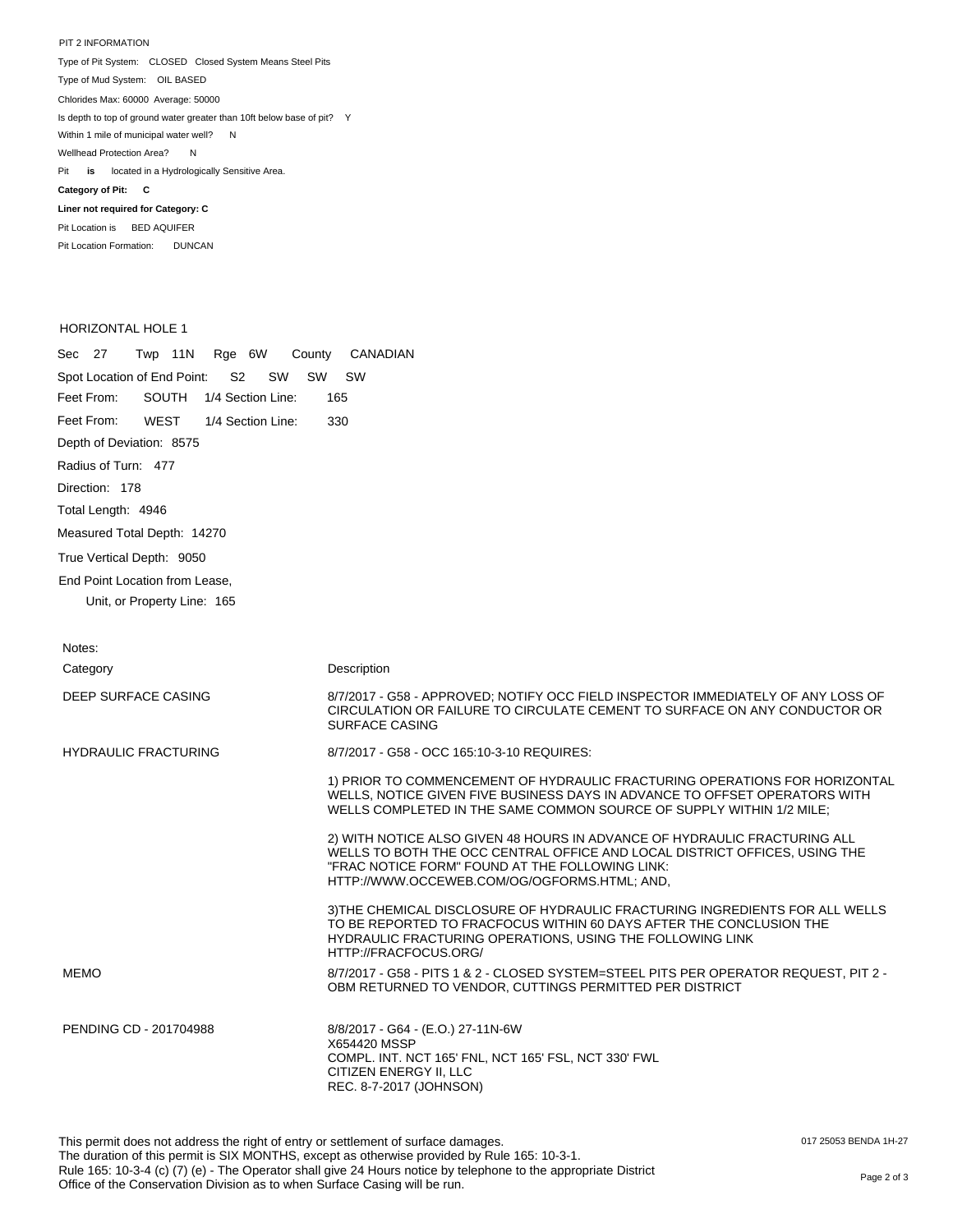PIT 2 INFORMATION Type of Pit System: CLOSED Closed System Means Steel Pits Type of Mud System: OIL BASED Pit **is** located in a Hydrologically Sensitive Area. **Category of Pit: C Liner not required for Category: C** Pit Location is BED AQUIFER Chlorides Max: 60000 Average: 50000 Is depth to top of ground water greater than 10ft below base of pit? Y Within 1 mile of municipal water well? N Wellhead Protection Area? N

## HORIZONTAL HOLE 1

Pit Location Formation: DUNCAN

| Sec 27<br>Twp 11N Rge 6W<br>County                        | CANADIAN                                                                                                                                                                                                                                                   |
|-----------------------------------------------------------|------------------------------------------------------------------------------------------------------------------------------------------------------------------------------------------------------------------------------------------------------------|
| Spot Location of End Point:<br>S <sub>2</sub><br>SW SW SW |                                                                                                                                                                                                                                                            |
| Feet From:<br>SOUTH 1/4 Section Line:                     | 165                                                                                                                                                                                                                                                        |
| Feet From:<br>WEST<br>1/4 Section Line:                   | 330                                                                                                                                                                                                                                                        |
| Depth of Deviation: 8575                                  |                                                                                                                                                                                                                                                            |
| Radius of Turn: 477                                       |                                                                                                                                                                                                                                                            |
| Direction: 178                                            |                                                                                                                                                                                                                                                            |
| Total Length: 4946                                        |                                                                                                                                                                                                                                                            |
| Measured Total Depth: 14270                               |                                                                                                                                                                                                                                                            |
| True Vertical Depth: 9050                                 |                                                                                                                                                                                                                                                            |
| End Point Location from Lease,                            |                                                                                                                                                                                                                                                            |
| Unit, or Property Line: 165                               |                                                                                                                                                                                                                                                            |
|                                                           |                                                                                                                                                                                                                                                            |
| Notes:                                                    |                                                                                                                                                                                                                                                            |
| Category                                                  | Description                                                                                                                                                                                                                                                |
| DEEP SURFACE CASING                                       | 8/7/2017 - G58 - APPROVED: NOTIFY OCC FIELD INSPECTOR IMMEDIATELY OF ANY LOSS OF<br>CIRCULATION OR FAILURE TO CIRCULATE CEMENT TO SURFACE ON ANY CONDUCTOR OR<br><b>SURFACE CASING</b>                                                                     |
| <b>HYDRAULIC FRACTURING</b>                               | 8/7/2017 - G58 - OCC 165:10-3-10 REQUIRES:                                                                                                                                                                                                                 |
|                                                           | 1) PRIOR TO COMMENCEMENT OF HYDRAULIC FRACTURING OPERATIONS FOR HORIZONTAL<br>WELLS, NOTICE GIVEN FIVE BUSINESS DAYS IN ADVANCE TO OFFSET OPERATORS WITH<br>WELLS COMPLETED IN THE SAME COMMON SOURCE OF SUPPLY WITHIN 1/2 MILE;                           |
|                                                           | 2) WITH NOTICE ALSO GIVEN 48 HOURS IN ADVANCE OF HYDRAULIC FRACTURING ALL<br>WELLS TO BOTH THE OCC CENTRAL OFFICE AND LOCAL DISTRICT OFFICES, USING THE<br>"FRAC NOTICE FORM" FOUND AT THE FOLLOWING LINK:<br>HTTP://WWW.OCCEWEB.COM/OG/OGFORMS.HTML; AND, |
|                                                           | 3) THE CHEMICAL DISCLOSURE OF HYDRAULIC FRACTURING INGREDIENTS FOR ALL WELLS<br>TO BE REPORTED TO FRACFOCUS WITHIN 60 DAYS AFTER THE CONCLUSION THE<br>HYDRAULIC FRACTURING OPERATIONS, USING THE FOLLOWING LINK<br>HTTP://FRACFOCUS.ORG/                  |
| <b>MEMO</b>                                               | 8/7/2017 - G58 - PITS 1 & 2 - CLOSED SYSTEM=STEEL PITS PER OPERATOR REQUEST, PIT 2 -<br>OBM RETURNED TO VENDOR, CUTTINGS PERMITTED PER DISTRICT                                                                                                            |

PENDING CD - 201704988 8/8/2017 - G64 - (E.O.) 27-11N-6W X654420 MSSP COMPL. INT. NCT 165' FNL, NCT 165' FSL, NCT 330' FWL CITIZEN ENERGY II, LLC REC. 8-7-2017 (JOHNSON)

017 25053 BENDA 1H-27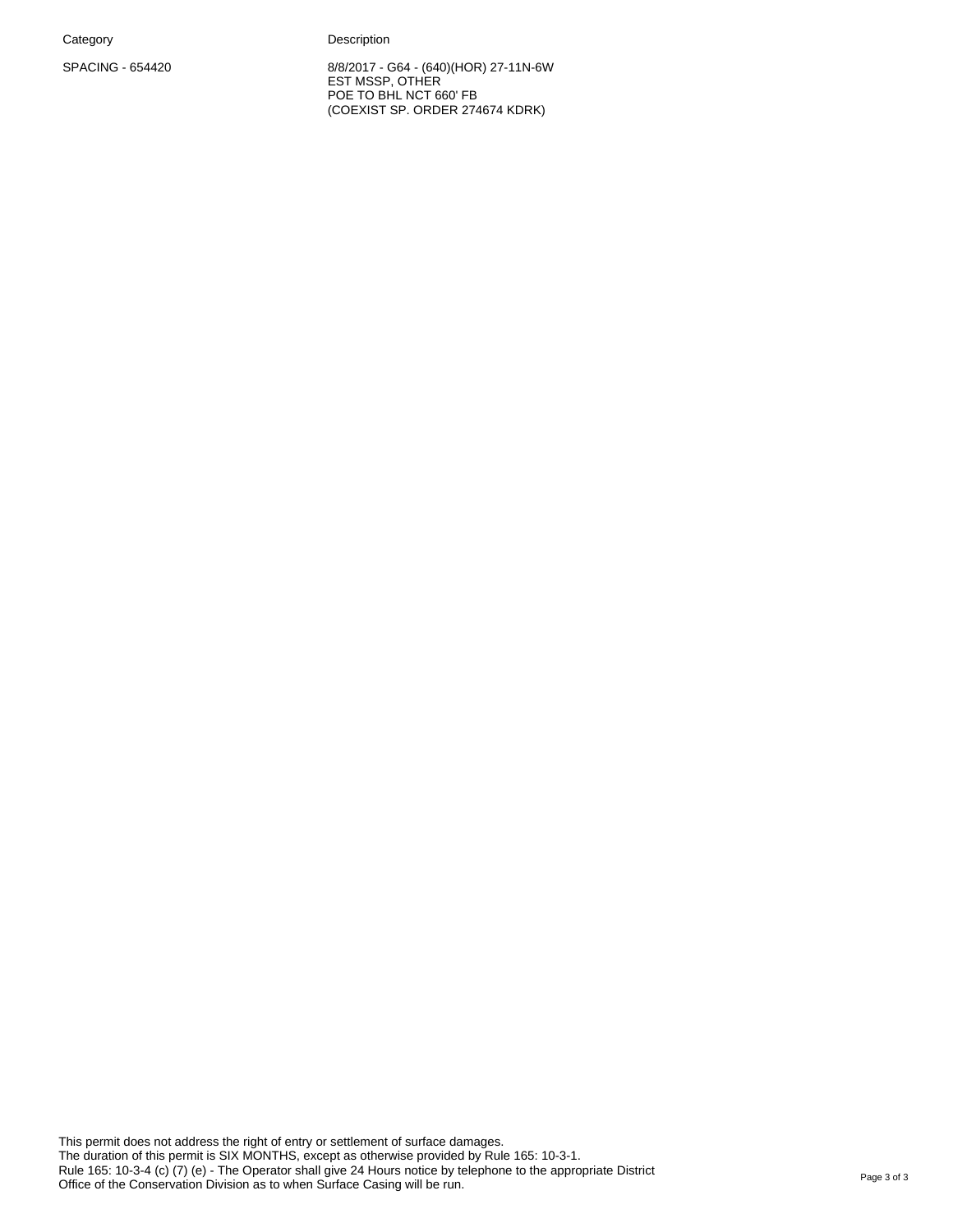Category **Description** 

SPACING - 654420 8/8/2017 - G64 - (640)(HOR) 27-11N-6W EST MSSP, OTHER POE TO BHL NCT 660' FB (COEXIST SP. ORDER 274674 KDRK)